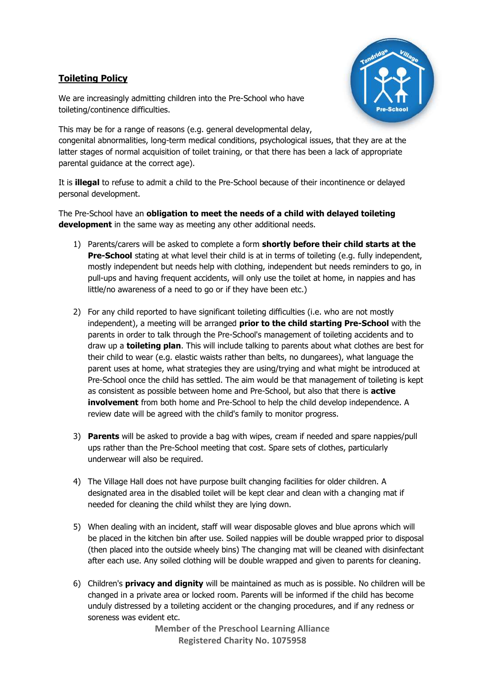## **Toileting Policy**



We are increasingly admitting children into the Pre-School who have toileting/continence difficulties.

This may be for a range of reasons (e.g. general developmental delay, congenital abnormalities, long-term medical conditions, psychological issues, that they are at the latter stages of normal acquisition of toilet training, or that there has been a lack of appropriate parental guidance at the correct age).

It is **illegal** to refuse to admit a child to the Pre-School because of their incontinence or delayed personal development.

The Pre-School have an **obligation to meet the needs of a child with delayed toileting development** in the same way as meeting any other additional needs.

- 1) Parents/carers will be asked to complete a form **shortly before their child starts at the Pre-School** stating at what level their child is at in terms of toileting (e.g. fully independent, mostly independent but needs help with clothing, independent but needs reminders to go, in pull-ups and having frequent accidents, will only use the toilet at home, in nappies and has little/no awareness of a need to go or if they have been etc.)
- 2) For any child reported to have significant toileting difficulties (i.e. who are not mostly independent), a meeting will be arranged **prior to the child starting Pre-School** with the parents in order to talk through the Pre-School's management of toileting accidents and to draw up a **toileting plan**. This will include talking to parents about what clothes are best for their child to wear (e.g. elastic waists rather than belts, no dungarees), what language the parent uses at home, what strategies they are using/trying and what might be introduced at Pre-School once the child has settled. The aim would be that management of toileting is kept as consistent as possible between home and Pre-School, but also that there is **active involvement** from both home and Pre-School to help the child develop independence. A review date will be agreed with the child's family to monitor progress.
- 3) **Parents** will be asked to provide a bag with wipes, cream if needed and spare nappies/pull ups rather than the Pre-School meeting that cost. Spare sets of clothes, particularly underwear will also be required.
- 4) The Village Hall does not have purpose built changing facilities for older children. A designated area in the disabled toilet will be kept clear and clean with a changing mat if needed for cleaning the child whilst they are lying down.
- 5) When dealing with an incident, staff will wear disposable gloves and blue aprons which will be placed in the kitchen bin after use. Soiled nappies will be double wrapped prior to disposal (then placed into the outside wheely bins) The changing mat will be cleaned with disinfectant after each use. Any soiled clothing will be double wrapped and given to parents for cleaning.
- 6) Children's **privacy and dignity** will be maintained as much as is possible. No children will be changed in a private area or locked room. Parents will be informed if the child has become unduly distressed by a toileting accident or the changing procedures, and if any redness or soreness was evident etc.

**Member of the Preschool Learning Alliance Registered Charity No. 1075958**